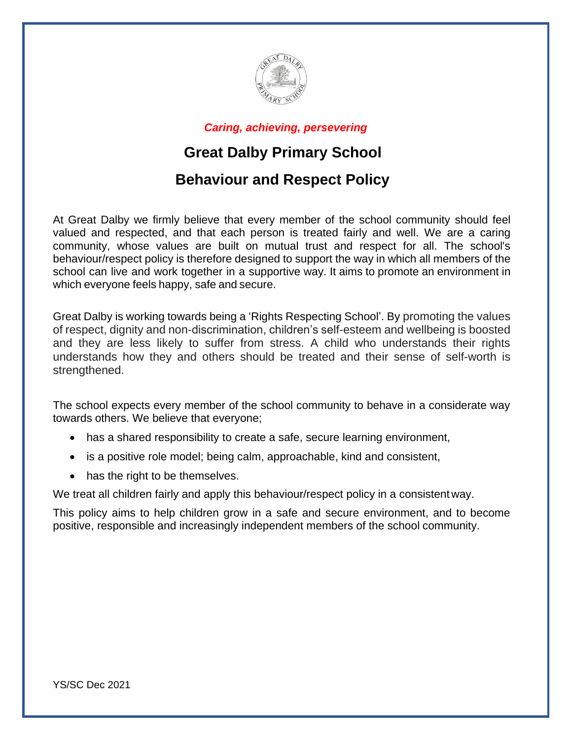

*Caring, achieving, persevering*

# **Great Dalby Primary School**

## **Behaviour and Respect Policy**

At Great Dalby we firmly believe that every member of the school community should feel valued and respected, and that each person is treated fairly and well. We are a caring community, whose values are built on mutual trust and respect for all. The school's behaviour/respect policy is therefore designed to support the way in which all members of the school can live and work together in a supportive way. It aims to promote an environment in which everyone feels happy, safe and secure.

Great Dalby is working towards being a 'Rights Respecting School'. By promoting the values of respect, dignity and non-discrimination, children's self-esteem and wellbeing is boosted and they are less likely to suffer from stress. A child who understands their rights understands how they and others should be treated and their sense of self-worth is strengthened.

The school expects every member of the school community to behave in a considerate way towards others. We believe that everyone;

- has a shared responsibility to create a safe, secure learning environment,
- is a positive role model; being calm, approachable, kind and consistent,
- has the right to be themselves.

We treat all children fairly and apply this behaviour/respect policy in a consistent way.

This policy aims to help children grow in a safe and secure environment, and to become positive, responsible and increasingly independent members of the school community.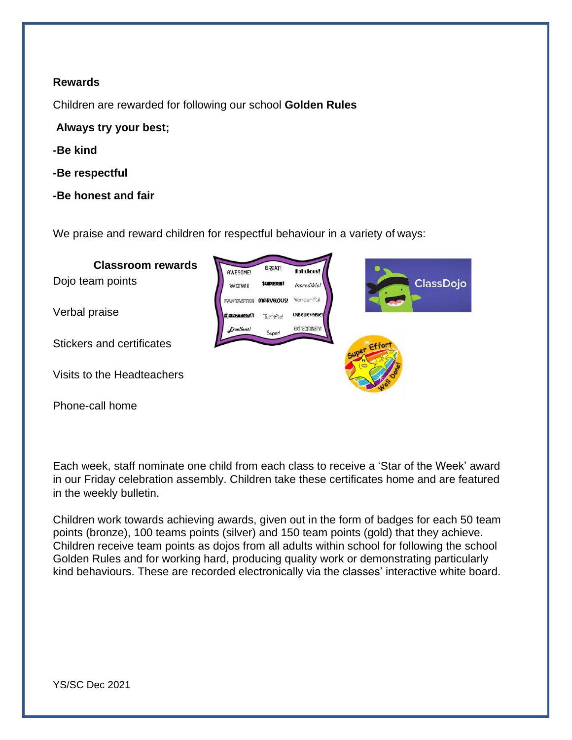#### **Rewards**

Children are rewarded for following our school **Golden Rules**

**Always try your best;**

- **-Be kind**
- **-Be respectful**
- **-Be honest and fair**

We praise and reward children for respectful behaviour in a variety of ways:



Each week, staff nominate one child from each class to receive a 'Star of the Week' award in our Friday celebration assembly. Children take these certificates home and are featured in the weekly bulletin.

Children work towards achieving awards, given out in the form of badges for each 50 team points (bronze), 100 teams points (silver) and 150 team points (gold) that they achieve. Children receive team points as dojos from all adults within school for following the school Golden Rules and for working hard, producing quality work or demonstrating particularly kind behaviours. These are recorded electronically via the classes' interactive white board.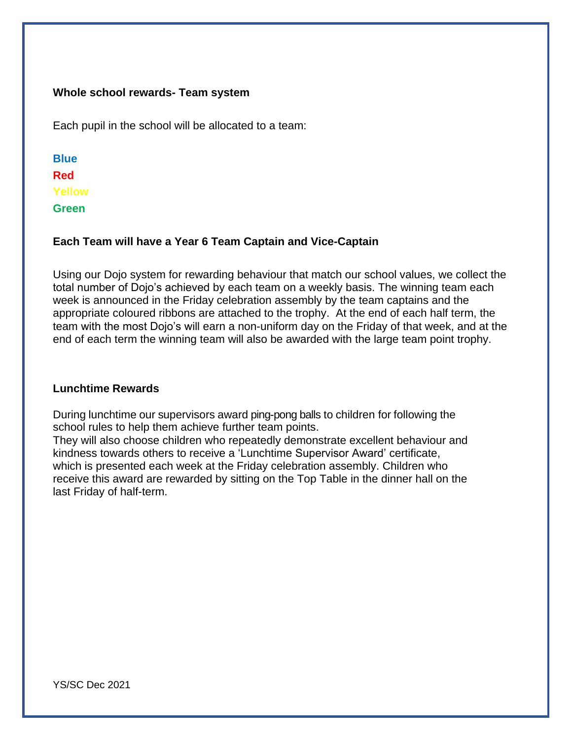#### **Whole school rewards- Team system**

Each pupil in the school will be allocated to a team:

**Blue Red Yellow Green**

### **Each Team will have a Year 6 Team Captain and Vice-Captain**

Using our Dojo system for rewarding behaviour that match our school values, we collect the total number of Dojo's achieved by each team on a weekly basis. The winning team each week is announced in the Friday celebration assembly by the team captains and the appropriate coloured ribbons are attached to the trophy. At the end of each half term, the team with the most Dojo's will earn a non-uniform day on the Friday of that week, and at the end of each term the winning team will also be awarded with the large team point trophy.

#### **Lunchtime Rewards**

During lunchtime our supervisors award ping-pong balls to children for following the school rules to help them achieve further team points.

They will also choose children who repeatedly demonstrate excellent behaviour and kindness towards others to receive a 'Lunchtime Supervisor Award' certificate, which is presented each week at the Friday celebration assembly. Children who receive this award are rewarded by sitting on the Top Table in the dinner hall on the last Friday of half-term.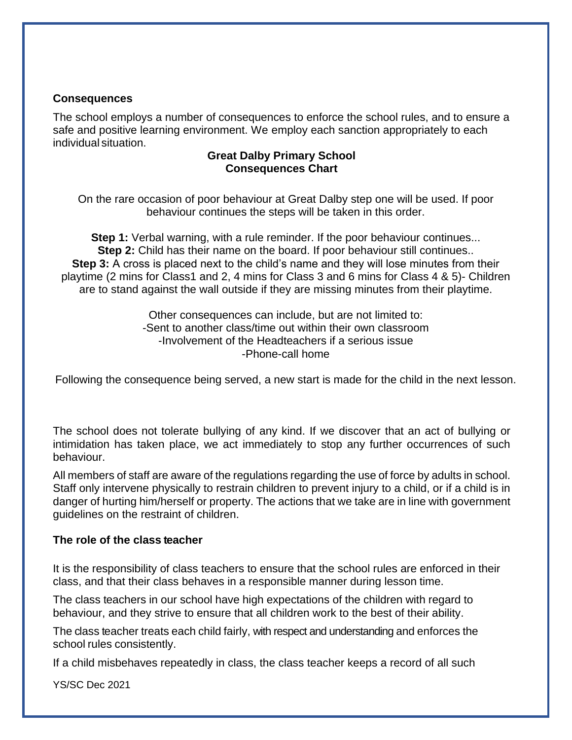#### **Consequences**

The school employs a number of consequences to enforce the school rules, and to ensure a safe and positive learning environment. We employ each sanction appropriately to each individual situation.

#### **Great Dalby Primary School Consequences Chart**

On the rare occasion of poor behaviour at Great Dalby step one will be used. If poor behaviour continues the steps will be taken in this order.

**Step 1:** Verbal warning, with a rule reminder. If the poor behaviour continues... **Step 2:** Child has their name on the board. If poor behaviour still continues.. **Step 3:** A cross is placed next to the child's name and they will lose minutes from their playtime (2 mins for Class1 and 2, 4 mins for Class 3 and 6 mins for Class 4 & 5)- Children are to stand against the wall outside if they are missing minutes from their playtime.

> Other consequences can include, but are not limited to: -Sent to another class/time out within their own classroom -Involvement of the Headteachers if a serious issue -Phone-call home

Following the consequence being served, a new start is made for the child in the next lesson.

The school does not tolerate bullying of any kind. If we discover that an act of bullying or intimidation has taken place, we act immediately to stop any further occurrences of such behaviour.

All members of staff are aware of the regulations regarding the use of force by adults in school. Staff only intervene physically to restrain children to prevent injury to a child, or if a child is in danger of hurting him/herself or property. The actions that we take are in line with government guidelines on the restraint of children.

#### **The role of the class teacher**

It is the responsibility of class teachers to ensure that the school rules are enforced in their class, and that their class behaves in a responsible manner during lesson time.

The class teachers in our school have high expectations of the children with regard to behaviour, and they strive to ensure that all children work to the best of their ability.

The class teacher treats each child fairly, with respect and understanding and enforces the school rules consistently.

If a child misbehaves repeatedly in class, the class teacher keeps a record of all such

YS/SC Dec 2021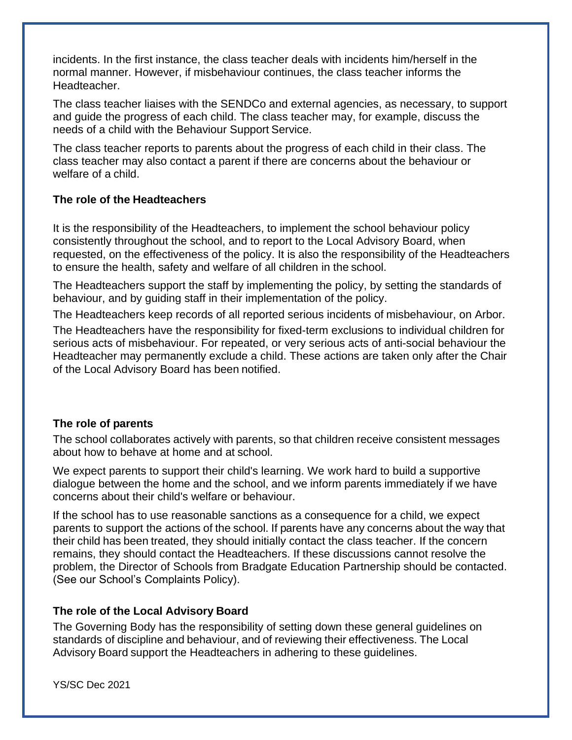incidents. In the first instance, the class teacher deals with incidents him/herself in the normal manner. However, if misbehaviour continues, the class teacher informs the Headteacher.

The class teacher liaises with the SENDCo and external agencies, as necessary, to support and guide the progress of each child. The class teacher may, for example, discuss the needs of a child with the Behaviour Support Service.

The class teacher reports to parents about the progress of each child in their class. The class teacher may also contact a parent if there are concerns about the behaviour or welfare of a child.

#### **The role of the Headteachers**

It is the responsibility of the Headteachers, to implement the school behaviour policy consistently throughout the school, and to report to the Local Advisory Board, when requested, on the effectiveness of the policy. It is also the responsibility of the Headteachers to ensure the health, safety and welfare of all children in the school.

The Headteachers support the staff by implementing the policy, by setting the standards of behaviour, and by guiding staff in their implementation of the policy.

The Headteachers keep records of all reported serious incidents of misbehaviour, on Arbor.

The Headteachers have the responsibility for fixed-term exclusions to individual children for serious acts of misbehaviour. For repeated, or very serious acts of anti-social behaviour the Headteacher may permanently exclude a child. These actions are taken only after the Chair of the Local Advisory Board has been notified.

## **The role of parents**

The school collaborates actively with parents, so that children receive consistent messages about how to behave at home and at school.

We expect parents to support their child's learning. We work hard to build a supportive dialogue between the home and the school, and we inform parents immediately if we have concerns about their child's welfare or behaviour.

If the school has to use reasonable sanctions as a consequence for a child, we expect parents to support the actions of the school. If parents have any concerns about the way that their child has been treated, they should initially contact the class teacher. If the concern remains, they should contact the Headteachers. If these discussions cannot resolve the problem, the Director of Schools from Bradgate Education Partnership should be contacted. (See our School's Complaints Policy).

## **The role of the Local Advisory Board**

The Governing Body has the responsibility of setting down these general guidelines on standards of discipline and behaviour, and of reviewing their effectiveness. The Local Advisory Board support the Headteachers in adhering to these guidelines.

YS/SC Dec 2021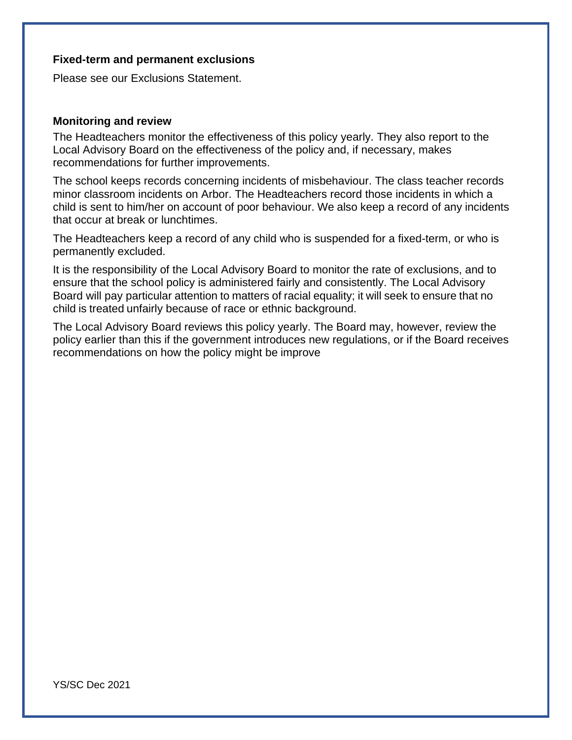#### **Fixed-term and permanent exclusions**

Please see our Exclusions Statement.

#### **Monitoring and review**

The Headteachers monitor the effectiveness of this policy yearly. They also report to the Local Advisory Board on the effectiveness of the policy and, if necessary, makes recommendations for further improvements.

The school keeps records concerning incidents of misbehaviour. The class teacher records minor classroom incidents on Arbor. The Headteachers record those incidents in which a child is sent to him/her on account of poor behaviour. We also keep a record of any incidents that occur at break or lunchtimes.

The Headteachers keep a record of any child who is suspended for a fixed-term, or who is permanently excluded.

It is the responsibility of the Local Advisory Board to monitor the rate of exclusions, and to ensure that the school policy is administered fairly and consistently. The Local Advisory Board will pay particular attention to matters of racial equality; it will seek to ensure that no child is treated unfairly because of race or ethnic background.

The Local Advisory Board reviews this policy yearly. The Board may, however, review the policy earlier than this if the government introduces new regulations, or if the Board receives recommendations on how the policy might be improve